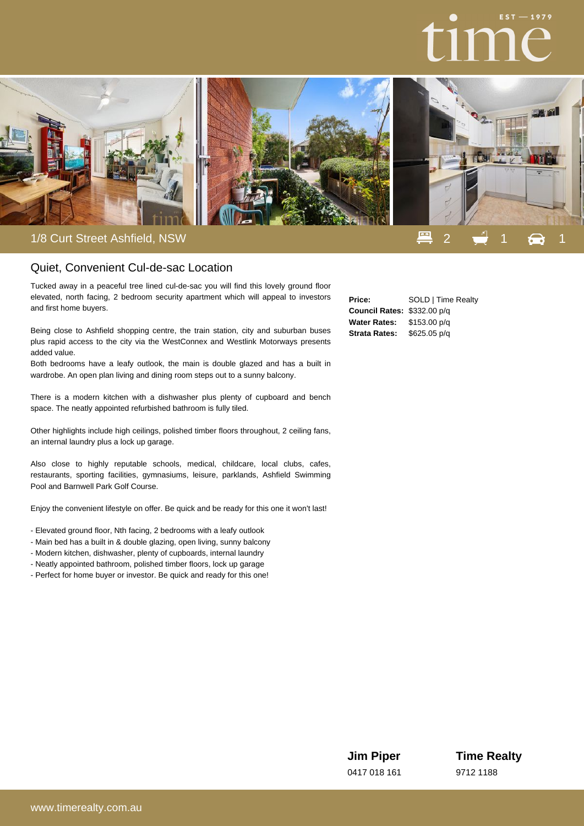

## Quiet, Convenient Cul-de-sac Location

Tucked away in a peaceful tree lined cul-de-sac you will find this lovely ground floor elevated, north facing, 2 bedroom security apartment which will appeal to investors and first home buyers.

Being close to Ashfield shopping centre, the train station, city and suburban buses plus rapid access to the city via the WestConnex and Westlink Motorways presents added value.

Both bedrooms have a leafy outlook, the main is double glazed and has a built in wardrobe. An open plan living and dining room steps out to a sunny balcony.

There is a modern kitchen with a dishwasher plus plenty of cupboard and bench space. The neatly appointed refurbished bathroom is fully tiled.

Other highlights include high ceilings, polished timber floors throughout, 2 ceiling fans, an internal laundry plus a lock up garage.

Also close to highly reputable schools, medical, childcare, local clubs, cafes, restaurants, sporting facilities, gymnasiums, leisure, parklands, Ashfield Swimming Pool and Barnwell Park Golf Course.

Enjoy the convenient lifestyle on offer. Be quick and be ready for this one it won't last!

- Elevated ground floor, Nth facing, 2 bedrooms with a leafy outlook
- Main bed has a built in & double glazing, open living, sunny balcony
- Modern kitchen, dishwasher, plenty of cupboards, internal laundry
- Neatly appointed bathroom, polished timber floors, lock up garage
- Perfect for home buyer or investor. Be quick and ready for this one!

| Price:                      | SOLD   Time Realty |
|-----------------------------|--------------------|
| Council Rates: \$332.00 p/g |                    |
| <b>Water Rates:</b>         | \$153.00 p/q       |
| <b>Strata Rates:</b>        | \$625.05 p/q       |

**Jim Piper** 0417 018 161 **Time Realty** 9712 1188